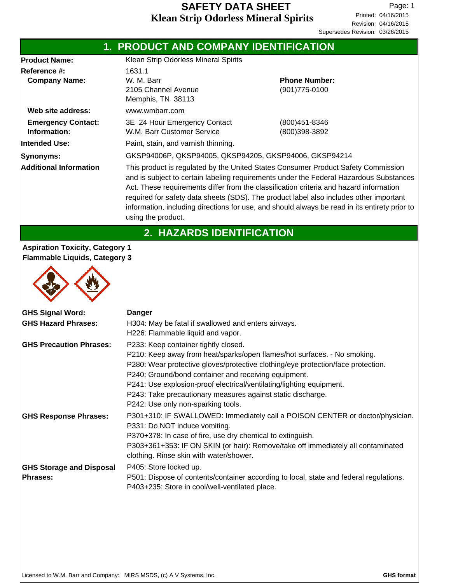|                                                                               | 1. PRODUCT AND COMPANY IDENTIFICATION                                                                                                                                                                                                                                                                                                                                                                                                                                                  |                                        |  |  |
|-------------------------------------------------------------------------------|----------------------------------------------------------------------------------------------------------------------------------------------------------------------------------------------------------------------------------------------------------------------------------------------------------------------------------------------------------------------------------------------------------------------------------------------------------------------------------------|----------------------------------------|--|--|
| <b>Product Name:</b><br><b>Reference #:</b><br><b>Company Name:</b>           | Klean Strip Odorless Mineral Spirits<br>1631.1<br>W. M. Barr<br>2105 Channel Avenue<br>Memphis, TN 38113                                                                                                                                                                                                                                                                                                                                                                               | <b>Phone Number:</b><br>(901) 775-0100 |  |  |
| Web site address:                                                             | www.wmbarr.com                                                                                                                                                                                                                                                                                                                                                                                                                                                                         |                                        |  |  |
| <b>Emergency Contact:</b><br>Information:                                     | 3E 24 Hour Emergency Contact<br>W.M. Barr Customer Service                                                                                                                                                                                                                                                                                                                                                                                                                             | (800)451-8346<br>(800)398-3892         |  |  |
| lIntended Use:                                                                | Paint, stain, and varnish thinning.                                                                                                                                                                                                                                                                                                                                                                                                                                                    |                                        |  |  |
| Synonyms:                                                                     | GKSP94006P, QKSP94005, QKSP94205, GKSP94006, GKSP94214                                                                                                                                                                                                                                                                                                                                                                                                                                 |                                        |  |  |
| <b>Additional Information</b>                                                 | This product is regulated by the United States Consumer Product Safety Commission<br>and is subject to certain labeling requirements under the Federal Hazardous Substances<br>Act. These requirements differ from the classification criteria and hazard information<br>required for safety data sheets (SDS). The product label also includes other important<br>information, including directions for use, and should always be read in its entirety prior to<br>using the product. |                                        |  |  |
|                                                                               | <b>2. HAZARDS IDENTIFICATION</b>                                                                                                                                                                                                                                                                                                                                                                                                                                                       |                                        |  |  |
| <b>Aspiration Toxicity, Category 1</b><br><b>Elammable Liquids Category 3</b> |                                                                                                                                                                                                                                                                                                                                                                                                                                                                                        |                                        |  |  |

# **Flammable Liquids, Category 3**

| <b>GHS Signal Word:</b><br><b>GHS Hazard Phrases:</b> | <b>Danger</b><br>H304: May be fatal if swallowed and enters airways.<br>H226: Flammable liquid and vapor.                                                                                                                                                                                                                                                                                                                                 |
|-------------------------------------------------------|-------------------------------------------------------------------------------------------------------------------------------------------------------------------------------------------------------------------------------------------------------------------------------------------------------------------------------------------------------------------------------------------------------------------------------------------|
| <b>GHS Precaution Phrases:</b>                        | P233: Keep container tightly closed.<br>P210: Keep away from heat/sparks/open flames/hot surfaces. - No smoking.<br>P280: Wear protective gloves/protective clothing/eye protection/face protection.<br>P240: Ground/bond container and receiving equipment.<br>P241: Use explosion-proof electrical/ventilating/lighting equipment.<br>P243: Take precautionary measures against static discharge.<br>P242: Use only non-sparking tools. |
| <b>GHS Response Phrases:</b>                          | P301+310: IF SWALLOWED: Immediately call a POISON CENTER or doctor/physician.<br>P331: Do NOT induce vomiting.<br>P370+378: In case of fire, use dry chemical to extinguish.<br>P303+361+353: IF ON SKIN (or hair): Remove/take off immediately all contaminated<br>clothing. Rinse skin with water/shower.                                                                                                                               |
| <b>GHS Storage and Disposal</b><br><b>Phrases:</b>    | P405: Store locked up.<br>P501: Dispose of contents/container according to local, state and federal regulations.<br>P403+235: Store in cool/well-ventilated place.                                                                                                                                                                                                                                                                        |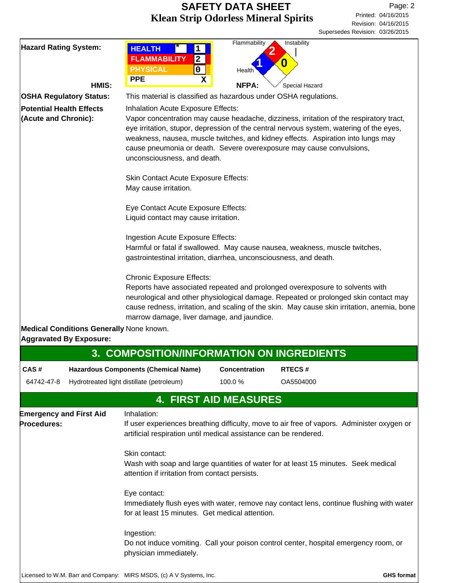$\overline{\phantom{a}}$ 

| <b>Hazard Rating System:</b>                                                              | HMIS:                                    | <b>HEALTH</b><br>$\mathbf{1}$<br><b>FLAMMABILITY</b><br>$\overline{2}$<br><b>PHYSICAL</b><br>0<br><b>PPE</b><br>$\mathbf x$                                                                                                                                                                                                                                                                                                                                                             | Flammability<br>Health<br><b>NFPA:</b> | Instability<br>O<br>Special Hazard                                                                                                                                                                                                                                 |
|-------------------------------------------------------------------------------------------|------------------------------------------|-----------------------------------------------------------------------------------------------------------------------------------------------------------------------------------------------------------------------------------------------------------------------------------------------------------------------------------------------------------------------------------------------------------------------------------------------------------------------------------------|----------------------------------------|--------------------------------------------------------------------------------------------------------------------------------------------------------------------------------------------------------------------------------------------------------------------|
| <b>OSHA Regulatory Status:</b><br><b>Potential Health Effects</b><br>(Acute and Chronic): |                                          | This material is classified as hazardous under OSHA regulations.<br>Inhalation Acute Exposure Effects:<br>Vapor concentration may cause headache, dizziness, irritation of the respiratory tract,<br>eye irritation, stupor, depression of the central nervous system, watering of the eyes,<br>weakness, nausea, muscle twitches, and kidney effects. Aspiration into lungs may<br>cause pneumonia or death. Severe overexposure may cause convulsions,<br>unconsciousness, and death. |                                        |                                                                                                                                                                                                                                                                    |
|                                                                                           |                                          | <b>Skin Contact Acute Exposure Effects:</b><br>May cause irritation.                                                                                                                                                                                                                                                                                                                                                                                                                    |                                        |                                                                                                                                                                                                                                                                    |
|                                                                                           |                                          | Eye Contact Acute Exposure Effects:<br>Liquid contact may cause irritation.                                                                                                                                                                                                                                                                                                                                                                                                             |                                        |                                                                                                                                                                                                                                                                    |
|                                                                                           |                                          | Ingestion Acute Exposure Effects:<br>gastrointestinal irritation, diarrhea, unconsciousness, and death.                                                                                                                                                                                                                                                                                                                                                                                 |                                        | Harmful or fatal if swallowed. May cause nausea, weakness, muscle twitches,                                                                                                                                                                                        |
|                                                                                           |                                          | <b>Chronic Exposure Effects:</b><br>marrow damage, liver damage, and jaundice.                                                                                                                                                                                                                                                                                                                                                                                                          |                                        | Reports have associated repeated and prolonged overexposure to solvents with<br>neurological and other physiological damage. Repeated or prolonged skin contact may<br>cause redness, irritation, and scaling of the skin. May cause skin irritation, anemia, bone |
| <b>Aggravated By Exposure:</b>                                                            | Medical Conditions Generally None known. |                                                                                                                                                                                                                                                                                                                                                                                                                                                                                         |                                        |                                                                                                                                                                                                                                                                    |
|                                                                                           |                                          | 3. COMPOSITION/INFORMATION ON INGREDIENTS                                                                                                                                                                                                                                                                                                                                                                                                                                               |                                        |                                                                                                                                                                                                                                                                    |
| CAS#                                                                                      |                                          | <b>Hazardous Components (Chemical Name)</b>                                                                                                                                                                                                                                                                                                                                                                                                                                             | Concentration                          | RTECS#                                                                                                                                                                                                                                                             |
| 64742-47-8                                                                                |                                          | Hydrotreated light distillate (petroleum)                                                                                                                                                                                                                                                                                                                                                                                                                                               | 100.0%                                 | OA5504000                                                                                                                                                                                                                                                          |
|                                                                                           |                                          | <b>4. FIRST AID MEASURES</b>                                                                                                                                                                                                                                                                                                                                                                                                                                                            |                                        |                                                                                                                                                                                                                                                                    |
| <b>Emergency and First Aid</b><br>Procedures:                                             |                                          | Inhalation:<br>artificial respiration until medical assistance can be rendered.                                                                                                                                                                                                                                                                                                                                                                                                         |                                        | If user experiences breathing difficulty, move to air free of vapors. Administer oxygen or                                                                                                                                                                         |
|                                                                                           |                                          | Skin contact:<br>attention if irritation from contact persists.                                                                                                                                                                                                                                                                                                                                                                                                                         |                                        | Wash with soap and large quantities of water for at least 15 minutes. Seek medical                                                                                                                                                                                 |
|                                                                                           |                                          | Eye contact:<br>for at least 15 minutes. Get medical attention.                                                                                                                                                                                                                                                                                                                                                                                                                         |                                        | Immediately flush eyes with water, remove nay contact lens, continue flushing with water                                                                                                                                                                           |
|                                                                                           |                                          | Ingestion:<br>physician immediately.                                                                                                                                                                                                                                                                                                                                                                                                                                                    |                                        | Do not induce vomiting. Call your poison control center, hospital emergency room, or                                                                                                                                                                               |
|                                                                                           |                                          | Licensed to W.M. Barr and Company: MIRS MSDS, (c) A V Systems, Inc.                                                                                                                                                                                                                                                                                                                                                                                                                     |                                        | <b>GHS format</b>                                                                                                                                                                                                                                                  |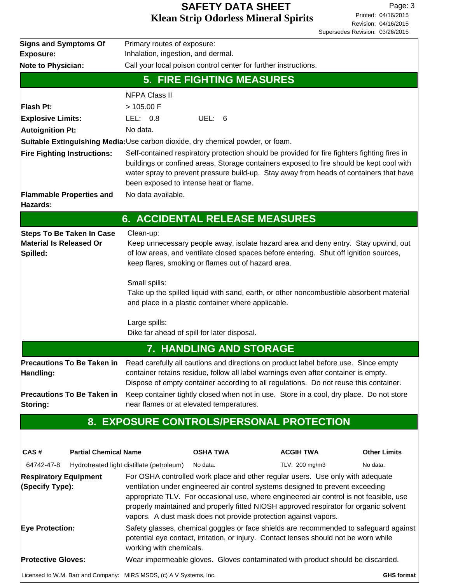| <b>Signs and Symptoms Of</b>                                                   | Primary routes of exposure:                                                                                                                                                                                                                                                                                                                                                                                            |                                                                                                                                                                             |                     |  |  |
|--------------------------------------------------------------------------------|------------------------------------------------------------------------------------------------------------------------------------------------------------------------------------------------------------------------------------------------------------------------------------------------------------------------------------------------------------------------------------------------------------------------|-----------------------------------------------------------------------------------------------------------------------------------------------------------------------------|---------------------|--|--|
| <b>Exposure:</b>                                                               | Inhalation, ingestion, and dermal.                                                                                                                                                                                                                                                                                                                                                                                     |                                                                                                                                                                             |                     |  |  |
| Note to Physician:                                                             | Call your local poison control center for further instructions.                                                                                                                                                                                                                                                                                                                                                        |                                                                                                                                                                             |                     |  |  |
|                                                                                | <b>5. FIRE FIGHTING MEASURES</b>                                                                                                                                                                                                                                                                                                                                                                                       |                                                                                                                                                                             |                     |  |  |
|                                                                                | <b>NFPA Class II</b>                                                                                                                                                                                                                                                                                                                                                                                                   |                                                                                                                                                                             |                     |  |  |
| Flash Pt:                                                                      | > 105.00 F                                                                                                                                                                                                                                                                                                                                                                                                             |                                                                                                                                                                             |                     |  |  |
| <b>Explosive Limits:</b>                                                       | UEL: 6<br>LEL: $0.8$                                                                                                                                                                                                                                                                                                                                                                                                   |                                                                                                                                                                             |                     |  |  |
| <b>Autoignition Pt:</b>                                                        | No data.                                                                                                                                                                                                                                                                                                                                                                                                               |                                                                                                                                                                             |                     |  |  |
|                                                                                | Suitable Extinguishing Media: Use carbon dioxide, dry chemical powder, or foam.                                                                                                                                                                                                                                                                                                                                        |                                                                                                                                                                             |                     |  |  |
| <b>Fire Fighting Instructions:</b>                                             | Self-contained respiratory protection should be provided for fire fighters fighting fires in<br>buildings or confined areas. Storage containers exposed to fire should be kept cool with<br>water spray to prevent pressure build-up. Stay away from heads of containers that have<br>been exposed to intense heat or flame.                                                                                           |                                                                                                                                                                             |                     |  |  |
| <b>Flammable Properties and</b>                                                | No data available.                                                                                                                                                                                                                                                                                                                                                                                                     |                                                                                                                                                                             |                     |  |  |
| Hazards:                                                                       |                                                                                                                                                                                                                                                                                                                                                                                                                        |                                                                                                                                                                             |                     |  |  |
|                                                                                | <b>6. ACCIDENTAL RELEASE MEASURES</b>                                                                                                                                                                                                                                                                                                                                                                                  |                                                                                                                                                                             |                     |  |  |
| <b>Steps To Be Taken In Case</b><br><b>Material Is Released Or</b><br>Spilled: | Clean-up:<br>keep flares, smoking or flames out of hazard area.                                                                                                                                                                                                                                                                                                                                                        | Keep unnecessary people away, isolate hazard area and deny entry. Stay upwind, out<br>of low areas, and ventilate closed spaces before entering. Shut off ignition sources, |                     |  |  |
|                                                                                | Small spills:<br>and place in a plastic container where applicable.                                                                                                                                                                                                                                                                                                                                                    | Take up the spilled liquid with sand, earth, or other noncombustible absorbent material                                                                                     |                     |  |  |
|                                                                                | Large spills:<br>Dike far ahead of spill for later disposal.                                                                                                                                                                                                                                                                                                                                                           |                                                                                                                                                                             |                     |  |  |
|                                                                                | 7. HANDLING AND STORAGE                                                                                                                                                                                                                                                                                                                                                                                                |                                                                                                                                                                             |                     |  |  |
| <b>Precautions To Be Taken in</b><br>Handling:                                 | Read carefully all cautions and directions on product label before use. Since empty<br>container retains residue, follow all label warnings even after container is empty.<br>Dispose of empty container according to all regulations. Do not reuse this container.                                                                                                                                                    |                                                                                                                                                                             |                     |  |  |
| <b>Precautions To Be Taken in</b><br><b>Storing:</b>                           | Keep container tightly closed when not in use. Store in a cool, dry place. Do not store<br>near flames or at elevated temperatures.                                                                                                                                                                                                                                                                                    |                                                                                                                                                                             |                     |  |  |
|                                                                                | 8. EXPOSURE CONTROLS/PERSONAL PROTECTION                                                                                                                                                                                                                                                                                                                                                                               |                                                                                                                                                                             |                     |  |  |
|                                                                                |                                                                                                                                                                                                                                                                                                                                                                                                                        |                                                                                                                                                                             |                     |  |  |
| <b>Partial Chemical Name</b><br>CAS#                                           | <b>OSHA TWA</b>                                                                                                                                                                                                                                                                                                                                                                                                        | <b>ACGIH TWA</b>                                                                                                                                                            | <b>Other Limits</b> |  |  |
| 64742-47-8                                                                     | No data.<br>Hydrotreated light distillate (petroleum)                                                                                                                                                                                                                                                                                                                                                                  | TLV: 200 mg/m3                                                                                                                                                              | No data.            |  |  |
| <b>Respiratory Equipment</b><br>(Specify Type):                                | For OSHA controlled work place and other regular users. Use only with adequate<br>ventilation under engineered air control systems designed to prevent exceeding<br>appropriate TLV. For occasional use, where engineered air control is not feasible, use<br>properly maintained and properly fitted NIOSH approved respirator for organic solvent<br>vapors. A dust mask does not provide protection against vapors. |                                                                                                                                                                             |                     |  |  |
| <b>Eye Protection:</b>                                                         | Safety glasses, chemical goggles or face shields are recommended to safeguard against<br>potential eye contact, irritation, or injury. Contact lenses should not be worn while<br>working with chemicals.                                                                                                                                                                                                              |                                                                                                                                                                             |                     |  |  |
| <b>Protective Gloves:</b>                                                      | Wear impermeable gloves. Gloves contaminated with product should be discarded.                                                                                                                                                                                                                                                                                                                                         |                                                                                                                                                                             |                     |  |  |
|                                                                                | Licensed to W.M. Barr and Company: MIRS MSDS, (c) A V Systems, Inc.                                                                                                                                                                                                                                                                                                                                                    |                                                                                                                                                                             | GHS format          |  |  |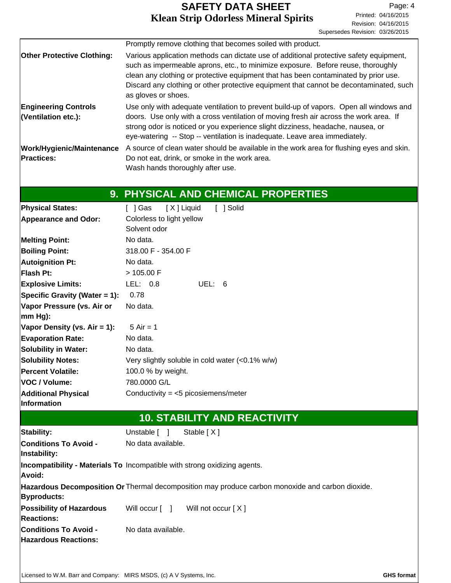|                                                             | Promptly remove clothing that becomes soiled with product.                                                                                                    |  |  |  |
|-------------------------------------------------------------|---------------------------------------------------------------------------------------------------------------------------------------------------------------|--|--|--|
| <b>Other Protective Clothing:</b>                           | Various application methods can dictate use of additional protective safety equipment,                                                                        |  |  |  |
|                                                             | such as impermeable aprons, etc., to minimize exposure. Before reuse, thoroughly                                                                              |  |  |  |
|                                                             | clean any clothing or protective equipment that has been contaminated by prior use.                                                                           |  |  |  |
|                                                             | Discard any clothing or other protective equipment that cannot be decontaminated, such                                                                        |  |  |  |
|                                                             | as gloves or shoes.                                                                                                                                           |  |  |  |
| <b>Engineering Controls</b>                                 | Use only with adequate ventilation to prevent build-up of vapors. Open all windows and                                                                        |  |  |  |
| (Ventilation etc.):                                         | doors. Use only with a cross ventilation of moving fresh air across the work area. If                                                                         |  |  |  |
|                                                             | strong odor is noticed or you experience slight dizziness, headache, nausea, or<br>eye-watering -- Stop -- ventilation is inadequate. Leave area immediately. |  |  |  |
|                                                             |                                                                                                                                                               |  |  |  |
| <b>Work/Hygienic/Maintenance</b><br><b>Practices:</b>       | A source of clean water should be available in the work area for flushing eyes and skin.<br>Do not eat, drink, or smoke in the work area.                     |  |  |  |
|                                                             | Wash hands thoroughly after use.                                                                                                                              |  |  |  |
|                                                             |                                                                                                                                                               |  |  |  |
|                                                             | 9. PHYSICAL AND CHEMICAL PROPERTIES                                                                                                                           |  |  |  |
|                                                             |                                                                                                                                                               |  |  |  |
| <b>Physical States:</b>                                     | $\lceil$   Gas<br>[X] Liquid<br>[ ] Solid                                                                                                                     |  |  |  |
| <b>Appearance and Odor:</b>                                 | Colorless to light yellow<br>Solvent odor                                                                                                                     |  |  |  |
|                                                             | No data.                                                                                                                                                      |  |  |  |
| <b>Melting Point:</b>                                       | 318.00 F - 354.00 F                                                                                                                                           |  |  |  |
| <b>Boiling Point:</b>                                       | No data.                                                                                                                                                      |  |  |  |
| <b>Autoignition Pt:</b><br><b>Flash Pt:</b>                 | > 105.00 F                                                                                                                                                    |  |  |  |
|                                                             | UEL: 6                                                                                                                                                        |  |  |  |
| <b>Explosive Limits:</b>                                    | LEL: 0.8                                                                                                                                                      |  |  |  |
| Specific Gravity (Water = 1):                               | 0.78                                                                                                                                                          |  |  |  |
| Vapor Pressure (vs. Air or<br>$mm Hg$ :                     | No data.                                                                                                                                                      |  |  |  |
| Vapor Density (vs. Air = 1):                                | $5 Air = 1$                                                                                                                                                   |  |  |  |
| <b>Evaporation Rate:</b>                                    | No data.                                                                                                                                                      |  |  |  |
| <b>Solubility in Water:</b>                                 | No data.                                                                                                                                                      |  |  |  |
| <b>Solubility Notes:</b>                                    |                                                                                                                                                               |  |  |  |
| <b>Percent Volatile:</b>                                    | Very slightly soluble in cold water (<0.1% w/w)<br>100.0 % by weight.                                                                                         |  |  |  |
| VOC / Volume:                                               | 780.0000 G/L                                                                                                                                                  |  |  |  |
| <b>Additional Physical</b>                                  | Conductivity = $<$ 5 picosiemens/meter                                                                                                                        |  |  |  |
| <b>Information</b>                                          |                                                                                                                                                               |  |  |  |
|                                                             | <b>10. STABILITY AND REACTIVITY</b>                                                                                                                           |  |  |  |
| <b>Stability:</b>                                           | Unstable [ ]<br>Stable $[X]$                                                                                                                                  |  |  |  |
| <b>Conditions To Avoid -</b>                                | No data available.                                                                                                                                            |  |  |  |
| Instability:                                                |                                                                                                                                                               |  |  |  |
| Avoid:                                                      | Incompatibility - Materials To Incompatible with strong oxidizing agents.                                                                                     |  |  |  |
|                                                             | Hazardous Decomposition Or Thermal decomposition may produce carbon monoxide and carbon dioxide.                                                              |  |  |  |
| <b>Byproducts:</b>                                          |                                                                                                                                                               |  |  |  |
| <b>Possibility of Hazardous</b>                             | Will occur [ ]<br>Will not occur [ X ]                                                                                                                        |  |  |  |
| <b>Reactions:</b>                                           |                                                                                                                                                               |  |  |  |
| <b>Conditions To Avoid -</b><br><b>Hazardous Reactions:</b> | No data available.                                                                                                                                            |  |  |  |
|                                                             |                                                                                                                                                               |  |  |  |
|                                                             |                                                                                                                                                               |  |  |  |
|                                                             |                                                                                                                                                               |  |  |  |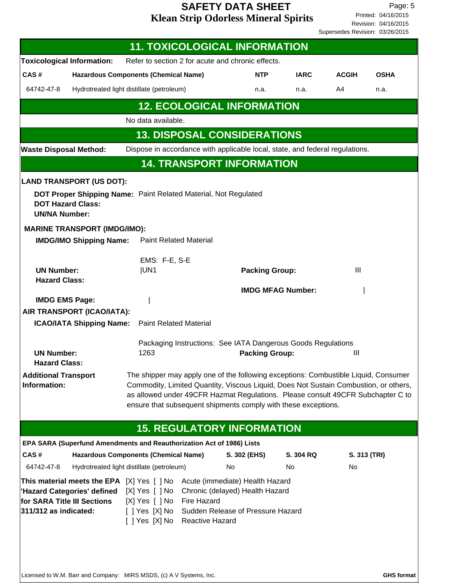Revision: 04/16/2015 Printed: 04/16/2015 Page: 5 Supersedes Revision: 03/26/2015

|                                                                                                                                         |                                             | <b>11. TOXICOLOGICAL INFORMATION</b>                                       |                                |                                                                                                         |                                                                                                                                                                                                                                                                                                                                  |              |              |
|-----------------------------------------------------------------------------------------------------------------------------------------|---------------------------------------------|----------------------------------------------------------------------------|--------------------------------|---------------------------------------------------------------------------------------------------------|----------------------------------------------------------------------------------------------------------------------------------------------------------------------------------------------------------------------------------------------------------------------------------------------------------------------------------|--------------|--------------|
| <b>Toxicological Information:</b>                                                                                                       |                                             | Refer to section 2 for acute and chronic effects.                          |                                |                                                                                                         |                                                                                                                                                                                                                                                                                                                                  |              |              |
| CAS#                                                                                                                                    | <b>Hazardous Components (Chemical Name)</b> |                                                                            |                                | <b>NTP</b>                                                                                              | <b>IARC</b>                                                                                                                                                                                                                                                                                                                      | <b>ACGIH</b> | <b>OSHA</b>  |
| 64742-47-8                                                                                                                              |                                             | Hydrotreated light distillate (petroleum)                                  |                                | n.a.                                                                                                    | n.a.                                                                                                                                                                                                                                                                                                                             | A4           | n.a.         |
|                                                                                                                                         |                                             |                                                                            |                                | <b>12. ECOLOGICAL INFORMATION</b>                                                                       |                                                                                                                                                                                                                                                                                                                                  |              |              |
|                                                                                                                                         |                                             | No data available.                                                         |                                |                                                                                                         |                                                                                                                                                                                                                                                                                                                                  |              |              |
|                                                                                                                                         |                                             |                                                                            |                                | <b>13. DISPOSAL CONSIDERATIONS</b>                                                                      |                                                                                                                                                                                                                                                                                                                                  |              |              |
| <b>Waste Disposal Method:</b>                                                                                                           |                                             |                                                                            |                                |                                                                                                         | Dispose in accordance with applicable local, state, and federal regulations.                                                                                                                                                                                                                                                     |              |              |
|                                                                                                                                         |                                             |                                                                            |                                | <b>14. TRANSPORT INFORMATION</b>                                                                        |                                                                                                                                                                                                                                                                                                                                  |              |              |
| <b>LAND TRANSPORT (US DOT):</b><br><b>DOT Hazard Class:</b><br><b>UN/NA Number:</b>                                                     |                                             | DOT Proper Shipping Name: Paint Related Material, Not Regulated            |                                |                                                                                                         |                                                                                                                                                                                                                                                                                                                                  |              |              |
| <b>MARINE TRANSPORT (IMDG/IMO):</b>                                                                                                     |                                             |                                                                            |                                |                                                                                                         |                                                                                                                                                                                                                                                                                                                                  |              |              |
|                                                                                                                                         | <b>IMDG/IMO Shipping Name:</b>              | <b>Paint Related Material</b>                                              |                                |                                                                                                         |                                                                                                                                                                                                                                                                                                                                  |              |              |
| <b>UN Number:</b><br><b>Hazard Class:</b>                                                                                               |                                             | EMS: F-E, S-E<br><b>IUN1</b>                                               |                                | <b>Packing Group:</b>                                                                                   | <b>IMDG MFAG Number:</b>                                                                                                                                                                                                                                                                                                         | III          |              |
| <b>IMDG EMS Page:</b><br>AIR TRANSPORT (ICAO/IATA):                                                                                     | <b>ICAO/IATA Shipping Name:</b>             | <b>Paint Related Material</b>                                              |                                |                                                                                                         |                                                                                                                                                                                                                                                                                                                                  |              |              |
| <b>UN Number:</b><br><b>Hazard Class:</b>                                                                                               |                                             | 1263                                                                       |                                | <b>Packing Group:</b>                                                                                   | Packaging Instructions: See IATA Dangerous Goods Regulations                                                                                                                                                                                                                                                                     | Ш            |              |
| <b>Additional Transport</b><br>Information:                                                                                             |                                             |                                                                            |                                |                                                                                                         | The shipper may apply one of the following exceptions: Combustible Liquid, Consumer<br>Commodity, Limited Quantity, Viscous Liquid, Does Not Sustain Combustion, or others,<br>as allowed under 49CFR Hazmat Regulations. Please consult 49CFR Subchapter C to<br>ensure that subsequent shipments comply with these exceptions. |              |              |
|                                                                                                                                         |                                             |                                                                            |                                | <b>15. REGULATORY INFORMATION</b>                                                                       |                                                                                                                                                                                                                                                                                                                                  |              |              |
|                                                                                                                                         |                                             | EPA SARA (Superfund Amendments and Reauthorization Act of 1986) Lists      |                                |                                                                                                         |                                                                                                                                                                                                                                                                                                                                  |              |              |
| CAS#                                                                                                                                    |                                             | <b>Hazardous Components (Chemical Name)</b>                                |                                | S. 302 (EHS)                                                                                            | S. 304 RQ                                                                                                                                                                                                                                                                                                                        |              | S. 313 (TRI) |
| 64742-47-8                                                                                                                              |                                             | Hydrotreated light distillate (petroleum)                                  |                                | No                                                                                                      | No                                                                                                                                                                                                                                                                                                                               | No           |              |
| This material meets the EPA $[X]$ Yes $[$ $]$ No<br>'Hazard Categories' defined<br>for SARA Title III Sections<br>311/312 as indicated: |                                             | $[X]$ Yes $[$ $]$ No<br>[X] Yes [ ] No<br>[ ] Yes [X] No<br>[ ] Yes [X] No | Fire Hazard<br>Reactive Hazard | Acute (immediate) Health Hazard<br>Chronic (delayed) Health Hazard<br>Sudden Release of Pressure Hazard |                                                                                                                                                                                                                                                                                                                                  |              |              |

Licensed to W.M. Barr and Company: MIRS MSDS, (c) A V Systems, Inc. **GHS** format **GHS** format